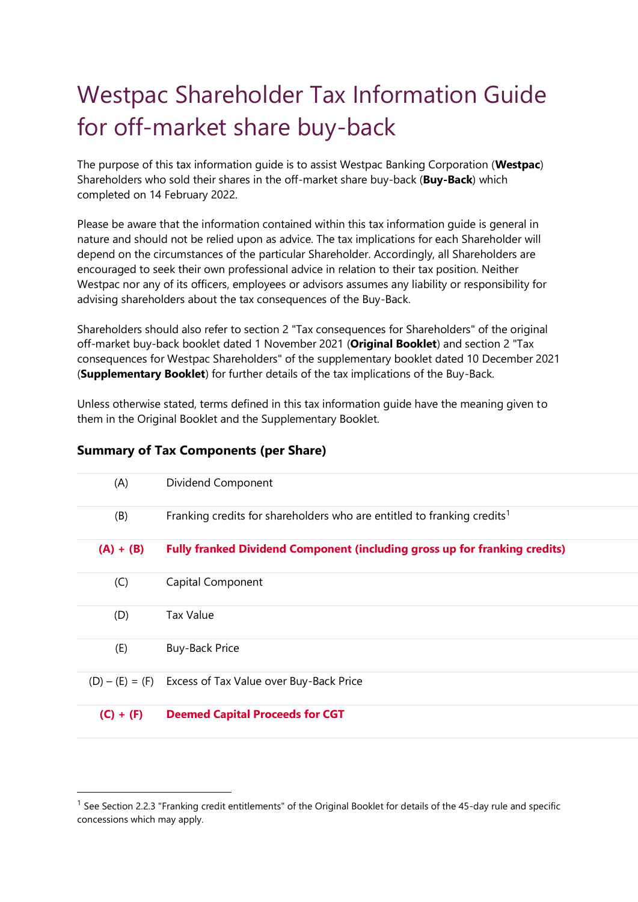# Westpac Shareholder Tax Information Guide for off-market share buy-back

The purpose of this tax information guide is to assist Westpac Banking Corporation (**Westpac**) Shareholders who sold their shares in the off-market share buy-back (**Buy-Back**) which completed on 14 February 2022.

Please be aware that the information contained within this tax information guide is general in nature and should not be relied upon as advice. The tax implications for each Shareholder will depend on the circumstances of the particular Shareholder. Accordingly, all Shareholders are encouraged to seek their own professional advice in relation to their tax position. Neither Westpac nor any of its officers, employees or advisors assumes any liability or responsibility for advising shareholders about the tax consequences of the Buy-Back.

Shareholders should also refer to section 2 "Tax consequences for Shareholders" of the original off-market buy-back booklet dated 1 November 2021 (**Original Booklet**) and section 2 "Tax consequences for Westpac Shareholders" of the supplementary booklet dated 10 December 2021 (**Supplementary Booklet**) for further details of the tax implications of the Buy-Back.

Unless otherwise stated, terms defined in this tax information guide have the meaning given to them in the Original Booklet and the Supplementary Booklet.

# **Summary of Tax Components (per Share)**

| (A)         | Dividend Component                                                                  |
|-------------|-------------------------------------------------------------------------------------|
| (B)         | Franking credits for shareholders who are entitled to franking credits <sup>1</sup> |
| $(A) + (B)$ | <b>Fully franked Dividend Component (including gross up for franking credits)</b>   |
| (C)         | Capital Component                                                                   |
| (D)         | Tax Value                                                                           |
| (E)         | <b>Buy-Back Price</b>                                                               |
|             | $(D) - (E) = (F)$ Excess of Tax Value over Buy-Back Price                           |
| $(C) + (F)$ | <b>Deemed Capital Proceeds for CGT</b>                                              |

<sup>&</sup>lt;sup>1</sup> See Section 2.2.3 "Franking credit entitlements" of the Original Booklet for details of the 45-day rule and specific concessions which may apply.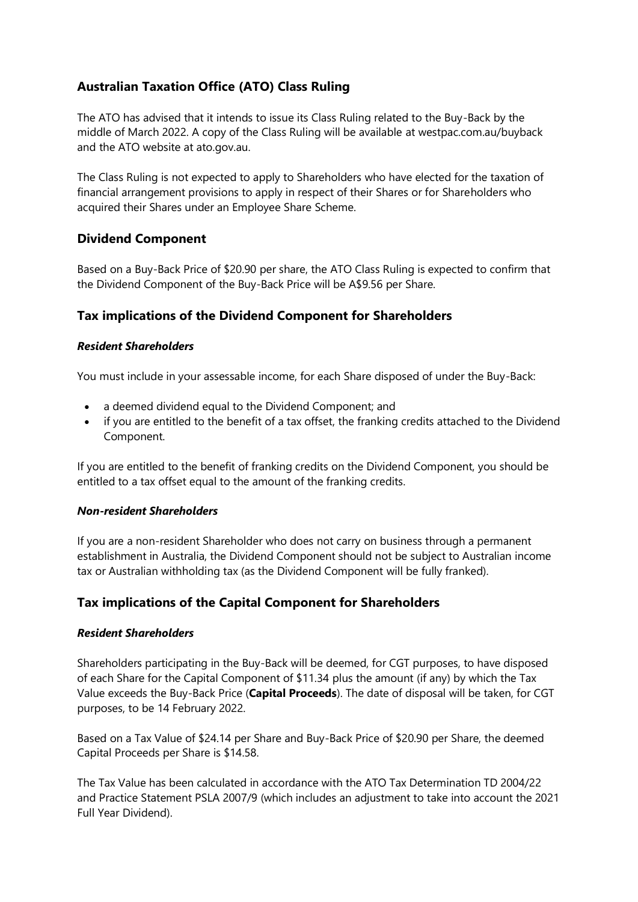# **Australian Taxation Office (ATO) Class Ruling**

The ATO has advised that it intends to issue its Class Ruling related to the Buy-Back by the middle of March 2022. A copy of the Class Ruling will be available at westpac.com.au/buyback and the ATO website at ato.gov.au.

The Class Ruling is not expected to apply to Shareholders who have elected for the taxation of financial arrangement provisions to apply in respect of their Shares or for Shareholders who acquired their Shares under an Employee Share Scheme.

## **Dividend Component**

Based on a Buy-Back Price of \$20.90 per share, the ATO Class Ruling is expected to confirm that the Dividend Component of the Buy-Back Price will be A\$9.56 per Share.

## **Tax implications of the Dividend Component for Shareholders**

## *Resident Shareholders*

You must include in your assessable income, for each Share disposed of under the Buy-Back:

- a deemed dividend equal to the Dividend Component; and
- if you are entitled to the benefit of a tax offset, the franking credits attached to the Dividend Component.

If you are entitled to the benefit of franking credits on the Dividend Component, you should be entitled to a tax offset equal to the amount of the franking credits.

### *Non-resident Shareholders*

If you are a non-resident Shareholder who does not carry on business through a permanent establishment in Australia, the Dividend Component should not be subject to Australian income tax or Australian withholding tax (as the Dividend Component will be fully franked).

## **Tax implications of the Capital Component for Shareholders**

### *Resident Shareholders*

Shareholders participating in the Buy-Back will be deemed, for CGT purposes, to have disposed of each Share for the Capital Component of \$11.34 plus the amount (if any) by which the Tax Value exceeds the Buy-Back Price (**Capital Proceeds**). The date of disposal will be taken, for CGT purposes, to be 14 February 2022.

Based on a Tax Value of \$24.14 per Share and Buy-Back Price of \$20.90 per Share, the deemed Capital Proceeds per Share is \$14.58.

The Tax Value has been calculated in accordance with the ATO Tax Determination TD 2004/22 and Practice Statement PSLA 2007/9 (which includes an adjustment to take into account the 2021 Full Year Dividend).